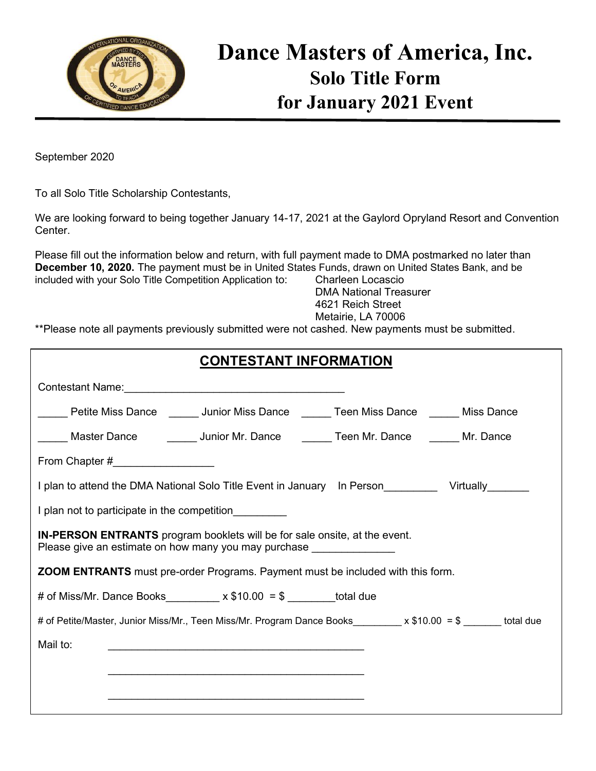

# **Dance Masters of America, Inc. Solo Title Form for January 2021 Event**

September 2020

To all Solo Title Scholarship Contestants,

We are looking forward to being together January 14-17, 2021 at the Gaylord Opryland Resort and Convention Center.

Please fill out the information below and return, with full payment made to DMA postmarked no later than **December 10, 2020.** The payment must be in United States Funds, drawn on United States Bank, and be included with your Solo Title Competition Application to: Charleen Locascio

 DMA National Treasurer 4621 Reich Street Metairie, LA 70006

\*\*Please note all payments previously submitted were not cashed. New payments must be submitted.

| <b>CONTESTANT INFORMATION</b>                                                                                                                             |  |  |  |  |  |  |
|-----------------------------------------------------------------------------------------------------------------------------------------------------------|--|--|--|--|--|--|
|                                                                                                                                                           |  |  |  |  |  |  |
| Lacken Miss Dance Community Junior Miss Dance Community Teen Miss Dance Communist Dance                                                                   |  |  |  |  |  |  |
| ____ Master Dance    _____ Junior Mr. Dance   ______ Teen Mr. Dance   _____ Mr. Dance                                                                     |  |  |  |  |  |  |
| From Chapter #____________________                                                                                                                        |  |  |  |  |  |  |
| I plan to attend the DMA National Solo Title Event in January In Person__________ Virtually_______                                                        |  |  |  |  |  |  |
| I plan not to participate in the competition                                                                                                              |  |  |  |  |  |  |
| <b>IN-PERSON ENTRANTS</b> program booklets will be for sale onsite, at the event.<br>Please give an estimate on how many you may purchase _______________ |  |  |  |  |  |  |
| <b>ZOOM ENTRANTS</b> must pre-order Programs. Payment must be included with this form.                                                                    |  |  |  |  |  |  |
| # of Miss/Mr. Dance Books_________ x $$10.00 = $$ _______total due                                                                                        |  |  |  |  |  |  |
| # of Petite/Master, Junior Miss/Mr., Teen Miss/Mr. Program Dance Books________ x \$10.00 = \$ ______ total due                                            |  |  |  |  |  |  |
| Mail to:                                                                                                                                                  |  |  |  |  |  |  |
|                                                                                                                                                           |  |  |  |  |  |  |
|                                                                                                                                                           |  |  |  |  |  |  |
|                                                                                                                                                           |  |  |  |  |  |  |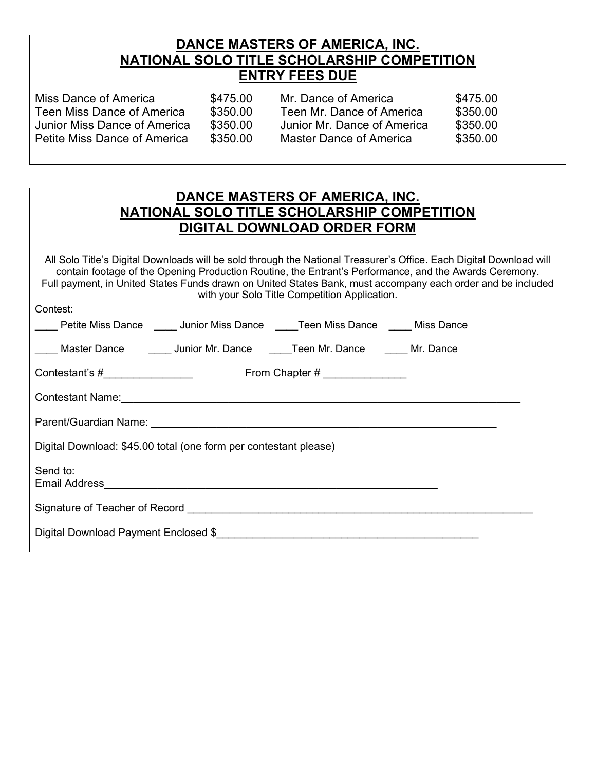#### **DANCE MASTERS OF AMERICA, INC. NATIONAL SOLO TITLE SCHOLARSHIP COMPETITION ENTRY FEES DUE**

| Miss Dance of America        | \$475.00 | Mr. Dance of America           | \$475.00 |
|------------------------------|----------|--------------------------------|----------|
| Teen Miss Dance of America   | \$350.00 | Teen Mr. Dance of America      | \$350.00 |
| Junior Miss Dance of America | \$350.00 | Junior Mr. Dance of America    | \$350.00 |
| Petite Miss Dance of America | \$350.00 | <b>Master Dance of America</b> | \$350.00 |

| DANCE MASTERS OF AMERICA, INC.              |
|---------------------------------------------|
| NATIONAL SOLO TITLE SCHOLARSHIP COMPETITION |
| <b>DIGITAL DOWNLOAD ORDER FORM</b>          |

All Solo Title's Digital Downloads will be sold through the National Treasurer's Office. Each Digital Download will contain footage of the Opening Production Routine, the Entrant's Performance, and the Awards Ceremony. Full payment, in United States Funds drawn on United States Bank, must accompany each order and be included with your Solo Title Competition Application.

Contest:

|                                                                  | <b>EXAMPLE PETER MISS DANCE</b> 2011 Junior Miss Dance 2012 Teen Miss Dance 2012 Miss Dance |  |  |  |  |
|------------------------------------------------------------------|---------------------------------------------------------------------------------------------|--|--|--|--|
|                                                                  | ____ Master Dance _______ Junior Mr. Dance _____Teen Mr. Dance _____ Mr. Dance              |  |  |  |  |
|                                                                  |                                                                                             |  |  |  |  |
|                                                                  | Contestant Name: Contestant Name:                                                           |  |  |  |  |
|                                                                  |                                                                                             |  |  |  |  |
| Digital Download: \$45.00 total (one form per contestant please) |                                                                                             |  |  |  |  |
| Send to:                                                         |                                                                                             |  |  |  |  |
|                                                                  |                                                                                             |  |  |  |  |
|                                                                  |                                                                                             |  |  |  |  |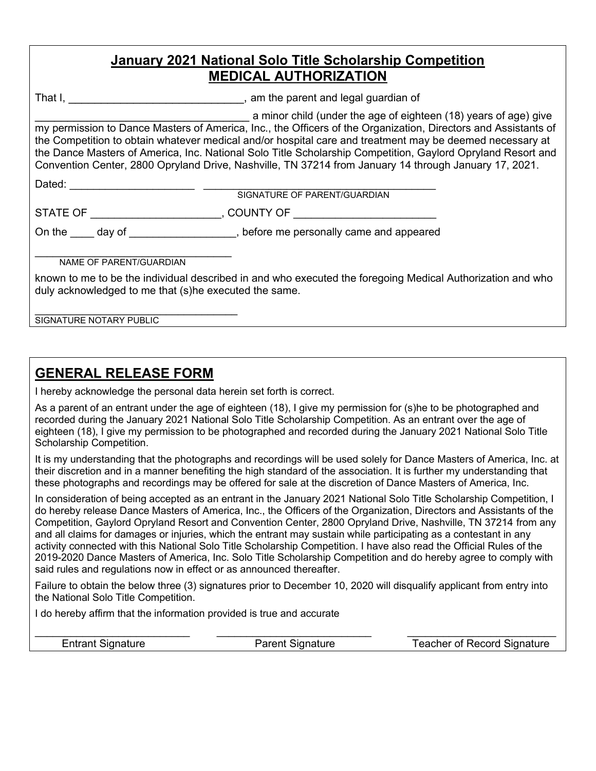## **January 2021 National Solo Title Scholarship Competition MEDICAL AUTHORIZATION**

That I, \_\_\_\_\_\_\_\_\_\_\_\_\_\_\_\_\_\_\_\_\_\_\_\_\_\_\_\_\_\_\_\_\_, am the parent and legal guardian of

a minor child (under the age of eighteen (18) years of age) give my permission to Dance Masters of America, Inc., the Officers of the Organization, Directors and Assistants of the Competition to obtain whatever medical and/or hospital care and treatment may be deemed necessary at the Dance Masters of America, Inc. National Solo Title Scholarship Competition, Gaylord Opryland Resort and Convention Center, 2800 Opryland Drive, Nashville, TN 37214 from January 14 through January 17, 2021. Dated: \_\_\_\_\_\_\_\_\_\_\_\_\_\_\_\_\_\_\_\_\_ \_\_\_\_\_\_\_\_\_\_\_\_\_\_\_\_\_\_\_\_\_\_\_\_\_\_\_\_\_\_\_\_\_\_\_\_\_\_\_

SIGNATURE OF PARENT/GUARDIAN

STATE OF \_\_\_\_\_\_\_\_\_\_\_\_\_\_\_\_\_\_\_\_\_\_\_\_\_\_, COUNTY OF \_\_\_\_\_\_\_\_\_\_\_\_\_\_\_\_\_\_\_\_\_\_\_\_\_\_\_\_\_\_\_\_\_

On the day of the day of the state of the state of the state of the state of the state of the state of the state of the state of the state of the state of the state of the state of the state of the state of the state of th

\_\_\_\_\_\_\_\_\_\_\_\_\_\_\_\_\_\_\_\_\_\_\_\_\_\_\_\_\_\_\_\_\_ NAME OF PARENT/GUARDIAN

known to me to be the individual described in and who executed the foregoing Medical Authorization and who duly acknowledged to me that (s)he executed the same.

\_\_\_\_\_\_\_\_\_\_\_\_\_\_\_\_\_\_\_\_\_\_\_\_\_\_\_\_\_\_\_\_\_\_ SIGNATURE NOTARY PUBLIC

# **GENERAL RELEASE FORM**

I hereby acknowledge the personal data herein set forth is correct.

As a parent of an entrant under the age of eighteen (18), I give my permission for (s)he to be photographed and recorded during the January 2021 National Solo Title Scholarship Competition. As an entrant over the age of eighteen (18), I give my permission to be photographed and recorded during the January 2021 National Solo Title Scholarship Competition.

It is my understanding that the photographs and recordings will be used solely for Dance Masters of America, Inc. at their discretion and in a manner benefiting the high standard of the association. It is further my understanding that these photographs and recordings may be offered for sale at the discretion of Dance Masters of America, Inc.

In consideration of being accepted as an entrant in the January 2021 National Solo Title Scholarship Competition, I do hereby release Dance Masters of America, Inc., the Officers of the Organization, Directors and Assistants of the Competition, Gaylord Opryland Resort and Convention Center, 2800 Opryland Drive, Nashville, TN 37214 from any and all claims for damages or injuries, which the entrant may sustain while participating as a contestant in any activity connected with this National Solo Title Scholarship Competition. I have also read the Official Rules of the 2019-2020 Dance Masters of America, Inc. Solo Title Scholarship Competition and do hereby agree to comply with said rules and regulations now in effect or as announced thereafter.

Failure to obtain the below three (3) signatures prior to December 10, 2020 will disqualify applicant from entry into the National Solo Title Competition.

I do hereby affirm that the information provided is true and accurate

\_\_\_\_\_\_\_\_\_\_\_\_\_\_\_\_\_\_\_\_\_\_\_\_\_\_ \_\_\_\_\_\_\_\_\_\_\_\_\_\_\_\_\_\_\_\_\_\_\_\_\_\_ \_\_\_\_\_\_\_\_\_\_\_\_\_\_\_\_\_\_\_\_\_\_\_\_\_ Entrant Signature Parent Signature Teacher of Record Signature